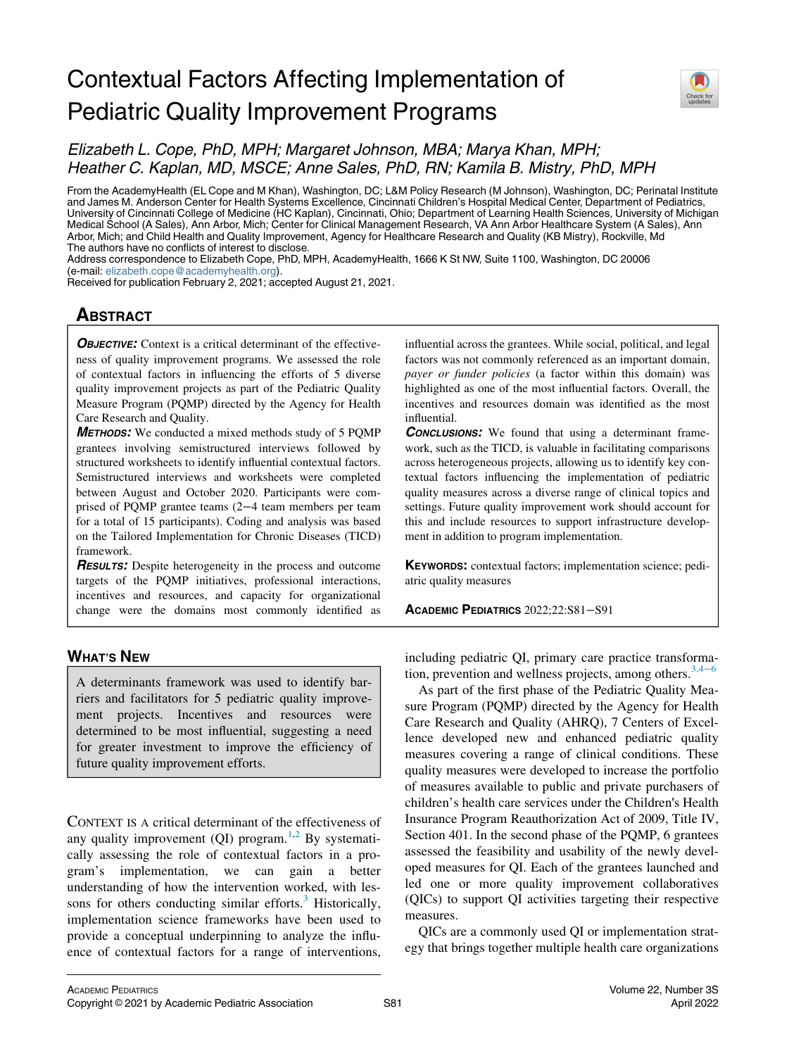# Contextual Factors Affecting Implementation of Pediatric Quality Improvement Programs



# Elizabeth L. Cope, PhD, MPH; Margaret Johnson, MBA; Marya Khan, MPH; Heather C. Kaplan, MD, MSCE; Anne Sales, PhD, RN; Kamila B. Mistry, PhD, MPH

From the AcademyHealth (EL Cope and M Khan), Washington, DC; L&M Policy Research (M Johnson), Washington, DC; Perinatal Institute and James M. Anderson Center for Health Systems Excellence, Cincinnati Children's Hospital Medical Center, Department of Pediatrics, University of Cincinnati College of Medicine (HC Kaplan), Cincinnati, Ohio; Department of Learning Health Sciences, University of Michigan Medical School (A Sales), Ann Arbor, Mich; Center for Clinical Management Research, VA Ann Arbor Healthcare System (A Sales), Ann Arbor, Mich; and Child Health and Quality Improvement, Agency for Healthcare Research and Quality (KB Mistry), Rockville, Md The authors have no conflicts of interest to disclose.

Address correspondence to Elizabeth Cope, PhD, MPH, AcademyHealth, 1666 K St NW, Suite 1100, Washington, DC 20006 (e-mail: [elizabeth.cope@academyhealth.org\)](mailto:elizabeth.cope@academyhealth.org).

Received for publication February 2, 2021; accepted August 21, 2021.

# **ABSTRACT**

**OBJECTIVE:** Context is a critical determinant of the effectiveness of quality improvement programs. We assessed the role of contextual factors in influencing the efforts of 5 diverse quality improvement projects as part of the Pediatric Quality Measure Program (PQMP) directed by the Agency for Health Care Research and Quality.

METHODS: We conducted a mixed methods study of 5 PQMP grantees involving semistructured interviews followed by structured worksheets to identify influential contextual factors. Semistructured interviews and worksheets were completed between August and October 2020. Participants were comprised of PQMP grantee teams (2−4 team members per team for a total of 15 participants). Coding and analysis was based on the Tailored Implementation for Chronic Diseases (TICD) framework.

**RESULTS:** Despite heterogeneity in the process and outcome targets of the PQMP initiatives, professional interactions, incentives and resources, and capacity for organizational change were the domains most commonly identified as

# WHAT'S NEW

A determinants framework was used to identify barriers and facilitators for 5 pediatric quality improvement projects. Incentives and resources were determined to be most influential, suggesting a need for greater investment to improve the efficiency of future quality improvement efforts.

CONTEXT IS A critical determinant of the effectiveness of any quality improvement  $(QI)$  program.<sup>[1,](#page-9-0)[2](#page-9-1)</sup> By systematically assessing the role of contextual factors in a program's implementation, we can gain a better understanding of how the intervention worked, with lessons for others conducting similar efforts. $3$  Historically, implementation science frameworks have been used to provide a conceptual underpinning to analyze the influence of contextual factors for a range of interventions,

influential across the grantees. While social, political, and legal factors was not commonly referenced as an important domain, payer or funder policies (a factor within this domain) was highlighted as one of the most influential factors. Overall, the incentives and resources domain was identified as the most influential.

**CONCLUSIONS:** We found that using a determinant framework, such as the TICD, is valuable in facilitating comparisons across heterogeneous projects, allowing us to identify key contextual factors influencing the implementation of pediatric quality measures across a diverse range of clinical topics and settings. Future quality improvement work should account for this and include resources to support infrastructure development in addition to program implementation.

KEYWORDS: contextual factors; implementation science; pediatric quality measures

ACADEMIC PEDIATRICS 2022;22:S81−S91

including pediatric QI, primary care practice transforma-tion, prevention and wellness projects, among others.<sup>[3,4](#page-9-2)−6</sup>

As part of the first phase of the Pediatric Quality Measure Program (PQMP) directed by the Agency for Health Care Research and Quality (AHRQ), 7 Centers of Excellence developed new and enhanced pediatric quality measures covering a range of clinical conditions. These quality measures were developed to increase the portfolio of measures available to public and private purchasers of children's health care services under the Children's Health Insurance Program Reauthorization Act of 2009, Title IV, Section 401. In the second phase of the PQMP, 6 grantees assessed the feasibility and usability of the newly developed measures for QI. Each of the grantees launched and led one or more quality improvement collaboratives (QICs) to support QI activities targeting their respective measures.

QICs are a commonly used QI or implementation strategy that brings together multiple health care organizations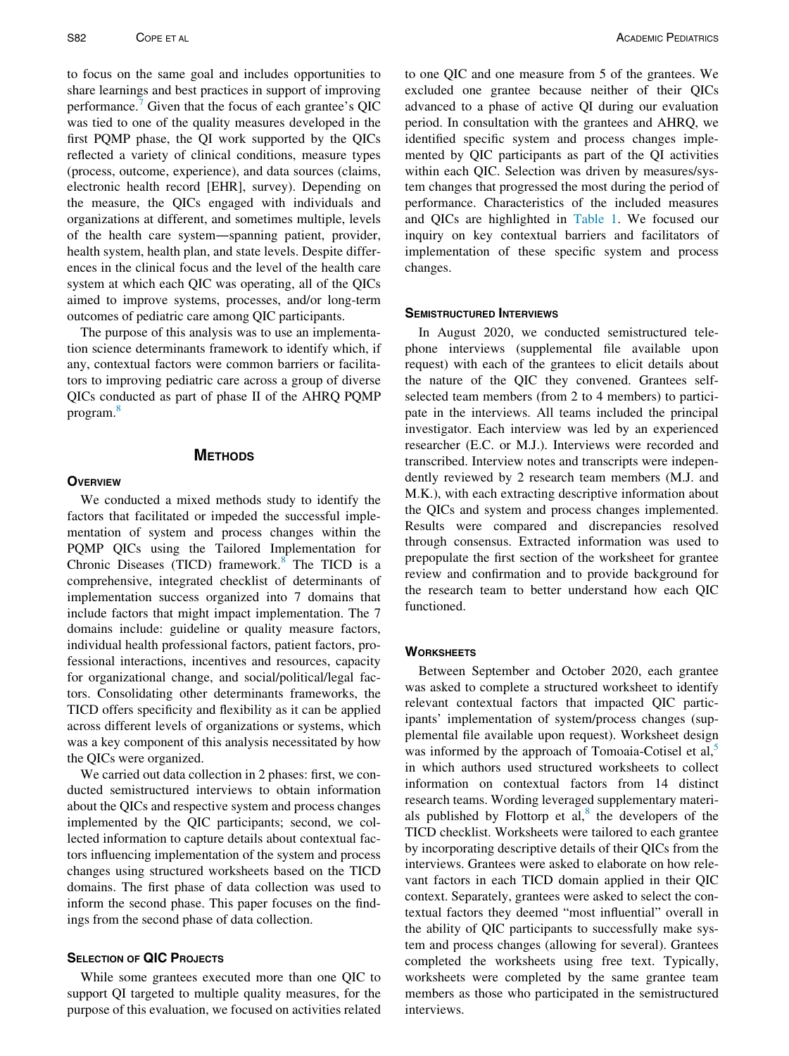to focus on the same goal and includes opportunities to share learnings and best practices in support of improving performance.[7](#page-10-0) Given that the focus of each grantee's QIC was tied to one of the quality measures developed in the first PQMP phase, the QI work supported by the QICs reflected a variety of clinical conditions, measure types (process, outcome, experience), and data sources (claims, electronic health record [EHR], survey). Depending on the measure, the QICs engaged with individuals and organizations at different, and sometimes multiple, levels of the health care system—spanning patient, provider, health system, health plan, and state levels. Despite differences in the clinical focus and the level of the health care system at which each QIC was operating, all of the QICs aimed to improve systems, processes, and/or long-term outcomes of pediatric care among QIC participants.

The purpose of this analysis was to use an implementation science determinants framework to identify which, if any, contextual factors were common barriers or facilitators to improving pediatric care across a group of diverse QICs conducted as part of phase II of the AHRQ PQMP program[.8](#page-10-1)

#### **METHODS**

#### **OVERVIEW**

We conducted a mixed methods study to identify the factors that facilitated or impeded the successful implementation of system and process changes within the PQMP QICs using the Tailored Implementation for Chronic Diseases (TICD) framework. $8$  The TICD is a comprehensive, integrated checklist of determinants of implementation success organized into 7 domains that include factors that might impact implementation. The 7 domains include: guideline or quality measure factors, individual health professional factors, patient factors, professional interactions, incentives and resources, capacity for organizational change, and social/political/legal factors. Consolidating other determinants frameworks, the TICD offers specificity and flexibility as it can be applied across different levels of organizations or systems, which was a key component of this analysis necessitated by how the QICs were organized.

We carried out data collection in 2 phases: first, we conducted semistructured interviews to obtain information about the QICs and respective system and process changes implemented by the QIC participants; second, we collected information to capture details about contextual factors influencing implementation of the system and process changes using structured worksheets based on the TICD domains. The first phase of data collection was used to inform the second phase. This paper focuses on the findings from the second phase of data collection.

# SELECTION OF QIC PROJECTS

While some grantees executed more than one QIC to support QI targeted to multiple quality measures, for the purpose of this evaluation, we focused on activities related to one QIC and one measure from 5 of the grantees. We excluded one grantee because neither of their QICs advanced to a phase of active QI during our evaluation period. In consultation with the grantees and AHRQ, we identified specific system and process changes implemented by QIC participants as part of the QI activities within each QIC. Selection was driven by measures/system changes that progressed the most during the period of performance. Characteristics of the included measures and QICs are highlighted in [Table 1.](#page-2-0) We focused our inquiry on key contextual barriers and facilitators of implementation of these specific system and process changes.

#### SEMISTRUCTURED INTERVIEWS

In August 2020, we conducted semistructured telephone interviews (supplemental file available upon request) with each of the grantees to elicit details about the nature of the QIC they convened. Grantees selfselected team members (from 2 to 4 members) to participate in the interviews. All teams included the principal investigator. Each interview was led by an experienced researcher (E.C. or M.J.). Interviews were recorded and transcribed. Interview notes and transcripts were independently reviewed by 2 research team members (M.J. and M.K.), with each extracting descriptive information about the QICs and system and process changes implemented. Results were compared and discrepancies resolved through consensus. Extracted information was used to prepopulate the first section of the worksheet for grantee review and confirmation and to provide background for the research team to better understand how each QIC functioned.

#### **WORKSHEETS**

Between September and October 2020, each grantee was asked to complete a structured worksheet to identify relevant contextual factors that impacted QIC participants' implementation of system/process changes (supplemental file available upon request). Worksheet design was informed by the approach of Tomoaia-Cotisel et al, $5$ in which authors used structured worksheets to collect information on contextual factors from 14 distinct research teams. Wording leveraged supplementary materials published by Flottorp et  $al$ ,<sup>[8](#page-10-1)</sup> the developers of the TICD checklist. Worksheets were tailored to each grantee by incorporating descriptive details of their QICs from the interviews. Grantees were asked to elaborate on how relevant factors in each TICD domain applied in their QIC context. Separately, grantees were asked to select the contextual factors they deemed "most influential" overall in the ability of QIC participants to successfully make system and process changes (allowing for several). Grantees completed the worksheets using free text. Typically, worksheets were completed by the same grantee team members as those who participated in the semistructured interviews.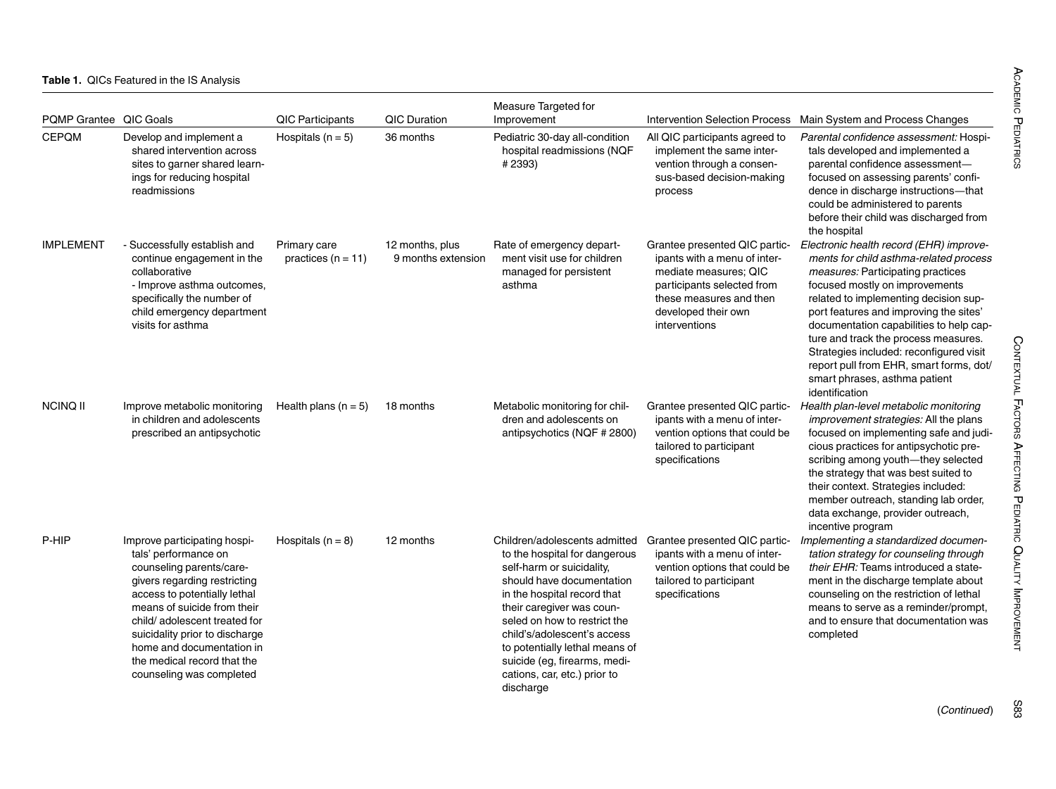#### <span id="page-2-0"></span>**Table 1.** QICs Featured in the IS Analysis

| PQMP Grantee QIC Goals |                                                                                                                                                                                                                                                                                                                                           | <b>QIC Participants</b>              | <b>QIC Duration</b>                   | Measure Targeted for<br>Improvement                                                                                                                                                                                                                                                                                                                                |                                                                                                                                                                                         | Intervention Selection Process Main System and Process Changes                                                                                                                                                                                                                                                                                                                                                                                                                 |
|------------------------|-------------------------------------------------------------------------------------------------------------------------------------------------------------------------------------------------------------------------------------------------------------------------------------------------------------------------------------------|--------------------------------------|---------------------------------------|--------------------------------------------------------------------------------------------------------------------------------------------------------------------------------------------------------------------------------------------------------------------------------------------------------------------------------------------------------------------|-----------------------------------------------------------------------------------------------------------------------------------------------------------------------------------------|--------------------------------------------------------------------------------------------------------------------------------------------------------------------------------------------------------------------------------------------------------------------------------------------------------------------------------------------------------------------------------------------------------------------------------------------------------------------------------|
| <b>CEPOM</b>           | Develop and implement a<br>shared intervention across<br>sites to garner shared learn-<br>ings for reducing hospital<br>readmissions                                                                                                                                                                                                      | Hospitals ( $n = 5$ )                | 36 months                             | Pediatric 30-day all-condition<br>hospital readmissions (NQF<br>#2393)                                                                                                                                                                                                                                                                                             | All QIC participants agreed to<br>implement the same inter-<br>vention through a consen-<br>sus-based decision-making<br>process                                                        | Parental confidence assessment: Hospi-<br>tals developed and implemented a<br>parental confidence assessment-<br>focused on assessing parents' confi-<br>dence in discharge instructions-that<br>could be administered to parents<br>before their child was discharged from<br>the hospital                                                                                                                                                                                    |
| <b>IMPLEMENT</b>       | - Successfully establish and<br>continue engagement in the<br>collaborative<br>- Improve asthma outcomes,<br>specifically the number of<br>child emergency department<br>visits for asthma                                                                                                                                                | Primary care<br>practices $(n = 11)$ | 12 months, plus<br>9 months extension | Rate of emergency depart-<br>ment visit use for children<br>managed for persistent<br>asthma                                                                                                                                                                                                                                                                       | Grantee presented QIC partic-<br>ipants with a menu of inter-<br>mediate measures; QIC<br>participants selected from<br>these measures and then<br>developed their own<br>interventions | Electronic health record (EHR) improve-<br>ments for child asthma-related process<br><i>measures:</i> Participating practices<br>focused mostly on improvements<br>related to implementing decision sup-<br>port features and improving the sites'<br>documentation capabilities to help cap-<br>ture and track the process measures.<br>Strategies included: reconfigured visit<br>report pull from EHR, smart forms, dot/<br>smart phrases, asthma patient<br>identification |
| <b>NCINQ II</b>        | Improve metabolic monitoring<br>in children and adolescents<br>prescribed an antipsychotic                                                                                                                                                                                                                                                | Health plans $(n = 5)$               | 18 months                             | Metabolic monitoring for chil-<br>dren and adolescents on<br>antipsychotics (NQF # 2800)                                                                                                                                                                                                                                                                           | Grantee presented QIC partic-<br>ipants with a menu of inter-<br>vention options that could be<br>tailored to participant<br>specifications                                             | Health plan-level metabolic monitoring<br><i>improvement strategies:</i> All the plans<br>focused on implementing safe and judi-<br>cious practices for antipsychotic pre-<br>scribing among youth-they selected<br>the strategy that was best suited to<br>their context. Strategies included:<br>member outreach, standing lab order,<br>data exchange, provider outreach,<br>incentive program                                                                              |
| P-HIP                  | Improve participating hospi-<br>tals' performance on<br>counseling parents/care-<br>givers regarding restricting<br>access to potentially lethal<br>means of suicide from their<br>child/adolescent treated for<br>suicidality prior to discharge<br>home and documentation in<br>the medical record that the<br>counseling was completed | Hospitals $(n = 8)$                  | 12 months                             | Children/adolescents admitted<br>to the hospital for dangerous<br>self-harm or suicidality.<br>should have documentation<br>in the hospital record that<br>their caregiver was coun-<br>seled on how to restrict the<br>child's/adolescent's access<br>to potentially lethal means of<br>suicide (eg, firearms, medi-<br>cations, car, etc.) prior to<br>discharge | Grantee presented QIC partic-<br>ipants with a menu of inter-<br>vention options that could be<br>tailored to participant<br>specifications                                             | Implementing a standardized documen-<br>tation strategy for counseling through<br>their EHR: Teams introduced a state-<br>ment in the discharge template about<br>counseling on the restriction of lethal<br>means to serve as a reminder/prompt,<br>and to ensure that documentation was<br>completed                                                                                                                                                                         |

S83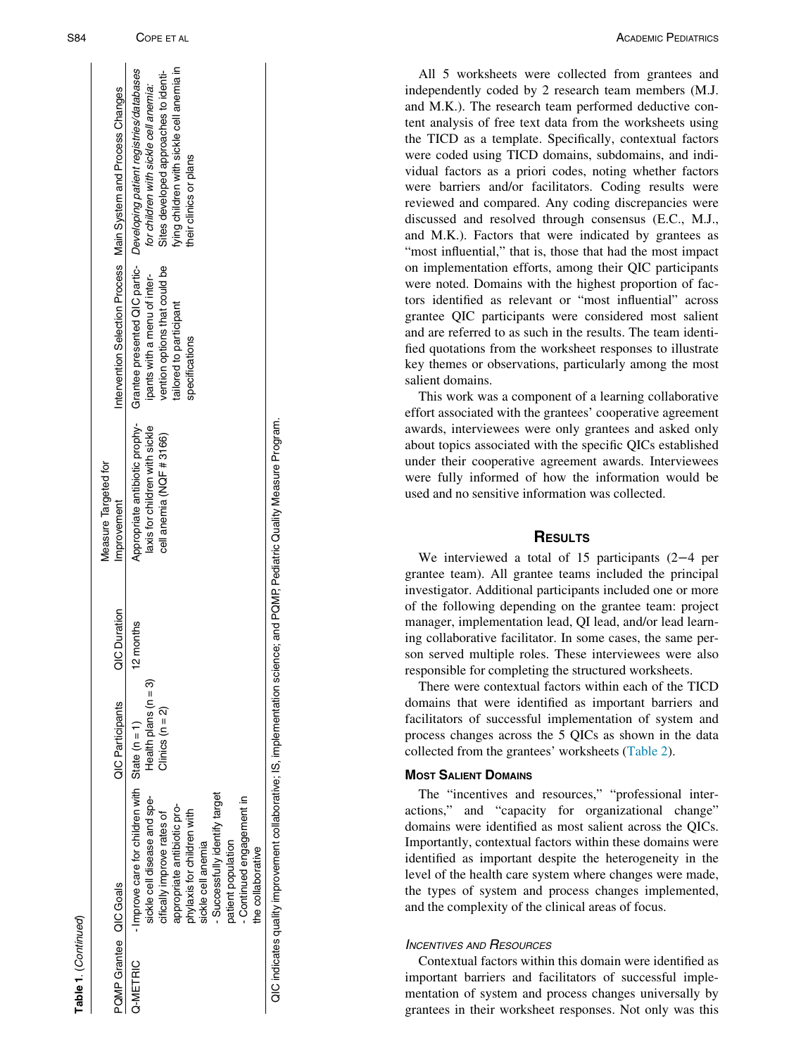$\hat{z}$ 

|                        |                                                                                                                                                                                                                                                                                                             |                                                 |              | Measure Targeted for                                       |                                                                                                            |                                                                                                                                                                                                                                                               |
|------------------------|-------------------------------------------------------------------------------------------------------------------------------------------------------------------------------------------------------------------------------------------------------------------------------------------------------------|-------------------------------------------------|--------------|------------------------------------------------------------|------------------------------------------------------------------------------------------------------------|---------------------------------------------------------------------------------------------------------------------------------------------------------------------------------------------------------------------------------------------------------------|
| PQMP Grantee QIC Goals |                                                                                                                                                                                                                                                                                                             | <b>QIC Participants</b>                         | QIC Duration | Improvement                                                |                                                                                                            | Intervention Selection Process Main System and Process Changes                                                                                                                                                                                                |
| Q-METRIC               | - Improve care for children with State $(n = 1)$<br>- Successfully identify target<br>sickle cell disease and spe-<br>- Continued engagement in<br>appropriate antibiotic pro-<br>phylaxis for children with<br>cifically improve rates of<br>patient population<br>sickle cell anemia<br>the collaborative | Health plans ( $n = 3$ )<br>Clinics ( $n = 2$ ) | 12 months    | laxis for children with sickle<br>cell anemia (NQF # 3166) | vention options that could be<br>ipants with a menu of inter-<br>tailored to participant<br>specifications | fying children with sickle cell anemia in<br>Appropriate antibiotic prophy- Grantee presented QIC partic- Developing patient registries/databases<br>Sites developed approaches to identi-<br>for children with sickle cell anemia:<br>their clinics or plans |
|                        | OIC indicates quality improvement collaborative: IS, implementation science: and POMP Pediatric Quality Measure Program                                                                                                                                                                                     |                                                 |              |                                                            |                                                                                                            |                                                                                                                                                                                                                                                               |

QIC indicates quality improvement collaborative; IS, implementation science; and PQMP, Pediatric Quality Measure Program.

ACADEMIC PEDIATRICS

All 5 worksheets were collected from grantees and independently coded by 2 research team members (M.J. and M.K.). The research team performed deductive content analysis of free text data from the worksheets using the TICD as a template. Specifically, contextual factors were coded using TICD domains, subdomains, and individual factors as a priori codes, noting whether factors were barriers and/or facilitators. Coding results were reviewed and compared. Any coding discrepancies were discussed and resolved through consensus (E.C., M.J., and M.K.). Factors that were indicated by grantees as "most influential," that is, those that had the most impact on implementation efforts, among their QIC participants were noted. Domains with the highest proportion of factors identified as relevant or "most influential" across grantee QIC participants were considered most salient and are referred to as such in the results. The team identified quotations from the worksheet responses to illustrate key themes or observations, particularly among the most salient domains.

This work was a component of a learning collaborative effort associated with the grantees' cooperative agreement awards, interviewees were only grantees and asked only about topics associated with the specific QICs established under their cooperative agreement awards. Interviewees were fully informed of how the information would be used and no sensitive information was collected.

# **RESULTS**

We interviewed a total of 15 participants (2 −4 per grantee team). All grantee teams included the principal investigator. Additional participants included one or more of the following depending on the grantee team: project manager, implementation lead, QI lead, and/or lead learning collaborative facilitator. In some cases, the same person served multiple roles. These interviewees were also responsible for completing the structured worksheets.

There were contextual factors within each of the TICD domains that were identified as important barriers and facilitators of successful implementation of system and process changes across the 5 QICs as shown in the data collected from the grantees' worksheets ([Table 2](#page-4-0)).

# MOST SALIENT DOMAINS

The "incentives and resources," "professional interactions," and "capacity for organizational change" domains were identified as most salient across the QICs. Importantly, contextual factors within these domains were identified as important despite the heterogeneity in the level of the health care system where changes were made, the types of system and process changes implemented, and the complexity of the clinical areas of focus.

# **INCENTIVES AND RESOURCES**

Contextual factors within this domain were identified as important barriers and facilitators of successful implementation of system and process changes universally by grantees in their worksheet responses. Not only was this

COPE ET AL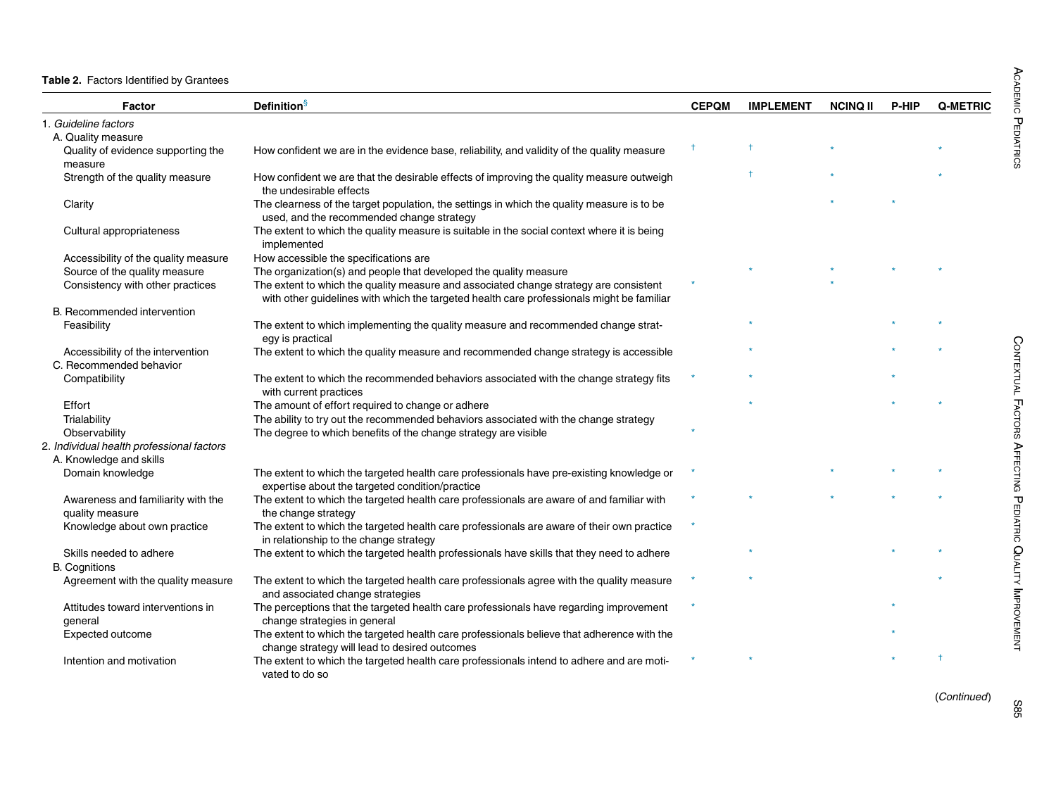<span id="page-4-0"></span>Table 2. Factors Identified by Grantees

| Factor                                    | <b>Definition</b> <sup>§</sup>                                                                                                               | <b>CEPQM</b> | <b>IMPLEMENT</b> | <b>NCINQ II</b> | <b>P-HIP</b> | Q-METRIC |
|-------------------------------------------|----------------------------------------------------------------------------------------------------------------------------------------------|--------------|------------------|-----------------|--------------|----------|
| 1. Guideline factors                      |                                                                                                                                              |              |                  |                 |              |          |
| A. Quality measure                        |                                                                                                                                              |              |                  |                 |              |          |
| Quality of evidence supporting the        | How confident we are in the evidence base, reliability, and validity of the quality measure                                                  |              |                  |                 |              |          |
| measure                                   |                                                                                                                                              |              |                  |                 |              |          |
| Strength of the quality measure           | How confident we are that the desirable effects of improving the quality measure outweigh<br>the undesirable effects                         |              | $\ddagger$       |                 |              |          |
| Clarity                                   | The clearness of the target population, the settings in which the quality measure is to be<br>used, and the recommended change strategy      |              |                  |                 |              |          |
| Cultural appropriateness                  | The extent to which the quality measure is suitable in the social context where it is being<br>implemented                                   |              |                  |                 |              |          |
| Accessibility of the quality measure      | How accessible the specifications are                                                                                                        |              |                  |                 |              |          |
| Source of the quality measure             | The organization(s) and people that developed the quality measure                                                                            |              |                  |                 |              |          |
| Consistency with other practices          | The extent to which the quality measure and associated change strategy are consistent                                                        |              |                  |                 |              |          |
|                                           | with other guidelines with which the targeted health care professionals might be familiar                                                    |              |                  |                 |              |          |
| B. Recommended intervention               |                                                                                                                                              |              |                  |                 |              |          |
| Feasibility                               | The extent to which implementing the quality measure and recommended change strat-<br>egy is practical                                       |              |                  |                 |              |          |
| Accessibility of the intervention         | The extent to which the quality measure and recommended change strategy is accessible                                                        |              |                  |                 |              |          |
| C. Recommended behavior                   |                                                                                                                                              |              |                  |                 |              |          |
| Compatibility                             | The extent to which the recommended behaviors associated with the change strategy fits<br>with current practices                             |              |                  |                 |              |          |
| Effort                                    | The amount of effort required to change or adhere                                                                                            |              |                  |                 |              |          |
| Trialability                              | The ability to try out the recommended behaviors associated with the change strategy                                                         |              |                  |                 |              |          |
| Observability                             | The degree to which benefits of the change strategy are visible                                                                              |              |                  |                 |              |          |
| 2. Individual health professional factors |                                                                                                                                              |              |                  |                 |              |          |
| A. Knowledge and skills                   |                                                                                                                                              |              |                  |                 |              |          |
| Domain knowledge                          | The extent to which the targeted health care professionals have pre-existing knowledge or<br>expertise about the targeted condition/practice |              |                  |                 |              |          |
| Awareness and familiarity with the        | The extent to which the targeted health care professionals are aware of and familiar with                                                    |              |                  |                 |              |          |
| quality measure                           | the change strategy                                                                                                                          |              |                  |                 |              |          |
| Knowledge about own practice              | The extent to which the targeted health care professionals are aware of their own practice<br>in relationship to the change strategy         |              |                  |                 |              |          |
| Skills needed to adhere                   | The extent to which the targeted health professionals have skills that they need to adhere                                                   |              |                  |                 |              |          |
| <b>B.</b> Cognitions                      |                                                                                                                                              |              |                  |                 |              |          |
| Agreement with the quality measure        | The extent to which the targeted health care professionals agree with the quality measure<br>and associated change strategies                |              |                  |                 |              |          |
| Attitudes toward interventions in         | The perceptions that the targeted health care professionals have regarding improvement                                                       |              |                  |                 |              |          |
| general                                   | change strategies in general                                                                                                                 |              |                  |                 |              |          |
| Expected outcome                          | The extent to which the targeted health care professionals believe that adherence with the<br>change strategy will lead to desired outcomes  |              |                  |                 |              |          |
| Intention and motivation                  | The extent to which the targeted health care professionals intend to adhere and are moti-<br>vated to do so                                  |              |                  |                 |              |          |

(Continued)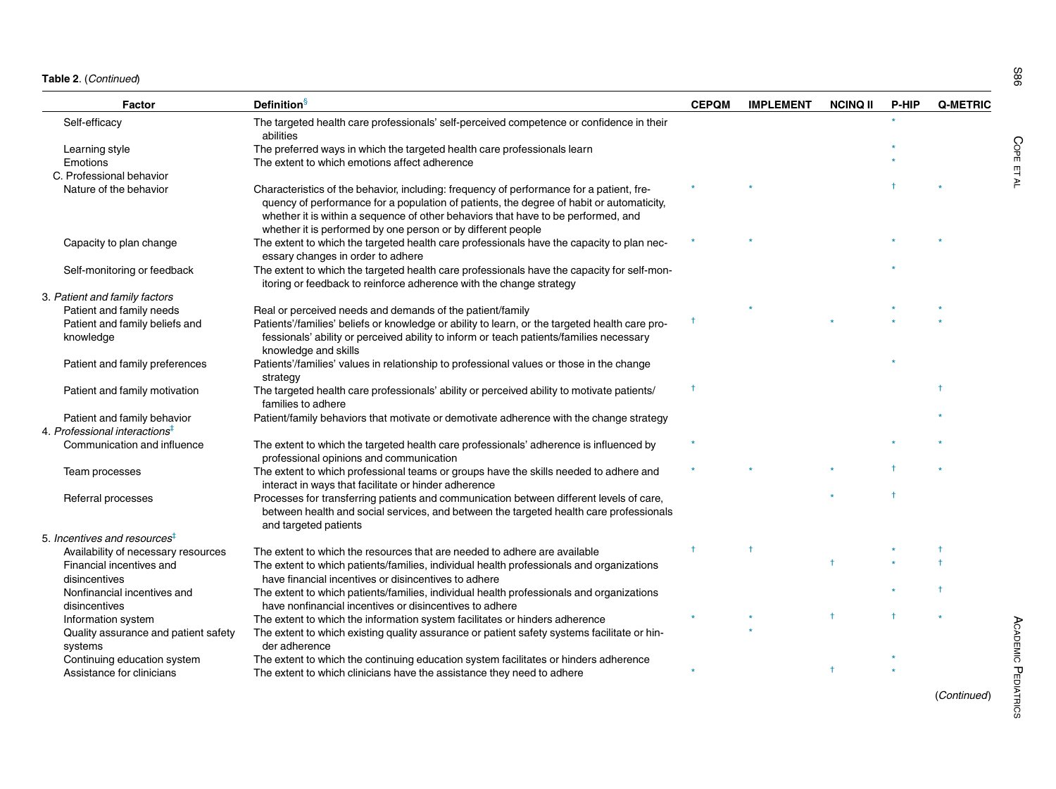| Table 2. (Continued) |  |
|----------------------|--|
|----------------------|--|

| Factor                                          | <b>Definition</b>                                                                                                                                                                                                                                                                                                                         | <b>CEPQM</b> | <b>IMPLEMENT</b> | <b>NCINQ II</b> | P-HIP | <b>Q-METRIC</b> |
|-------------------------------------------------|-------------------------------------------------------------------------------------------------------------------------------------------------------------------------------------------------------------------------------------------------------------------------------------------------------------------------------------------|--------------|------------------|-----------------|-------|-----------------|
| Self-efficacy                                   | The targeted health care professionals' self-perceived competence or confidence in their<br>abilities                                                                                                                                                                                                                                     |              |                  |                 |       |                 |
| Learning style                                  | The preferred ways in which the targeted health care professionals learn                                                                                                                                                                                                                                                                  |              |                  |                 |       |                 |
| Emotions                                        | The extent to which emotions affect adherence                                                                                                                                                                                                                                                                                             |              |                  |                 |       |                 |
| C. Professional behavior                        |                                                                                                                                                                                                                                                                                                                                           |              |                  |                 |       |                 |
| Nature of the behavior                          | Characteristics of the behavior, including: frequency of performance for a patient, fre-<br>quency of performance for a population of patients, the degree of habit or automaticity,<br>whether it is within a sequence of other behaviors that have to be performed, and<br>whether it is performed by one person or by different people |              |                  |                 |       |                 |
| Capacity to plan change                         | The extent to which the targeted health care professionals have the capacity to plan nec-<br>essary changes in order to adhere                                                                                                                                                                                                            |              |                  |                 |       |                 |
| Self-monitoring or feedback                     | The extent to which the targeted health care professionals have the capacity for self-mon-<br>itoring or feedback to reinforce adherence with the change strategy                                                                                                                                                                         |              |                  |                 |       |                 |
| 3. Patient and family factors                   |                                                                                                                                                                                                                                                                                                                                           |              |                  |                 |       |                 |
| Patient and family needs                        | Real or perceived needs and demands of the patient/family                                                                                                                                                                                                                                                                                 |              |                  |                 |       |                 |
| Patient and family beliefs and<br>knowledge     | Patients'/families' beliefs or knowledge or ability to learn, or the targeted health care pro-<br>fessionals' ability or perceived ability to inform or teach patients/families necessary<br>knowledge and skills                                                                                                                         |              |                  |                 |       |                 |
| Patient and family preferences                  | Patients'/families' values in relationship to professional values or those in the change<br>strategy                                                                                                                                                                                                                                      |              |                  |                 |       |                 |
| Patient and family motivation                   | The targeted health care professionals' ability or perceived ability to motivate patients/<br>families to adhere                                                                                                                                                                                                                          |              |                  |                 |       |                 |
| Patient and family behavior                     | Patient/family behaviors that motivate or demotivate adherence with the change strategy                                                                                                                                                                                                                                                   |              |                  |                 |       |                 |
| 4. Professional interactions $^\ddag$           |                                                                                                                                                                                                                                                                                                                                           |              |                  |                 |       |                 |
| Communication and influence                     | The extent to which the targeted health care professionals' adherence is influenced by<br>professional opinions and communication                                                                                                                                                                                                         |              |                  |                 |       |                 |
| Team processes                                  | The extent to which professional teams or groups have the skills needed to adhere and<br>interact in ways that facilitate or hinder adherence                                                                                                                                                                                             |              |                  |                 |       |                 |
| Referral processes                              | Processes for transferring patients and communication between different levels of care,<br>between health and social services, and between the targeted health care professionals<br>and targeted patients                                                                                                                                |              |                  |                 |       |                 |
| 5. Incentives and resources $^\ddag$            |                                                                                                                                                                                                                                                                                                                                           |              |                  |                 |       |                 |
| Availability of necessary resources             | The extent to which the resources that are needed to adhere are available                                                                                                                                                                                                                                                                 |              |                  |                 |       |                 |
| Financial incentives and<br>disincentives       | The extent to which patients/families, individual health professionals and organizations<br>have financial incentives or disincentives to adhere                                                                                                                                                                                          |              |                  |                 |       |                 |
| Nonfinancial incentives and<br>disincentives    | The extent to which patients/families, individual health professionals and organizations<br>have nonfinancial incentives or disincentives to adhere                                                                                                                                                                                       |              |                  |                 |       |                 |
| Information system                              | The extent to which the information system facilitates or hinders adherence                                                                                                                                                                                                                                                               |              |                  |                 |       |                 |
| Quality assurance and patient safety<br>systems | The extent to which existing quality assurance or patient safety systems facilitate or hin-<br>der adherence                                                                                                                                                                                                                              |              |                  |                 |       |                 |
| Continuina education system                     | The extent to which the continuing education system facilitates or hinders adherence                                                                                                                                                                                                                                                      |              |                  |                 |       |                 |

Continuing education system The extent to which the continuing education system facilitates or hinders adherence  $*$ <br>Assistance for clinicians The extent to which clinicians have the assistance they need to adhere  $*$ 

The extent to which clinicians have the assistance they need to adhere

(Continued)

**PEDIATRICS** 

S86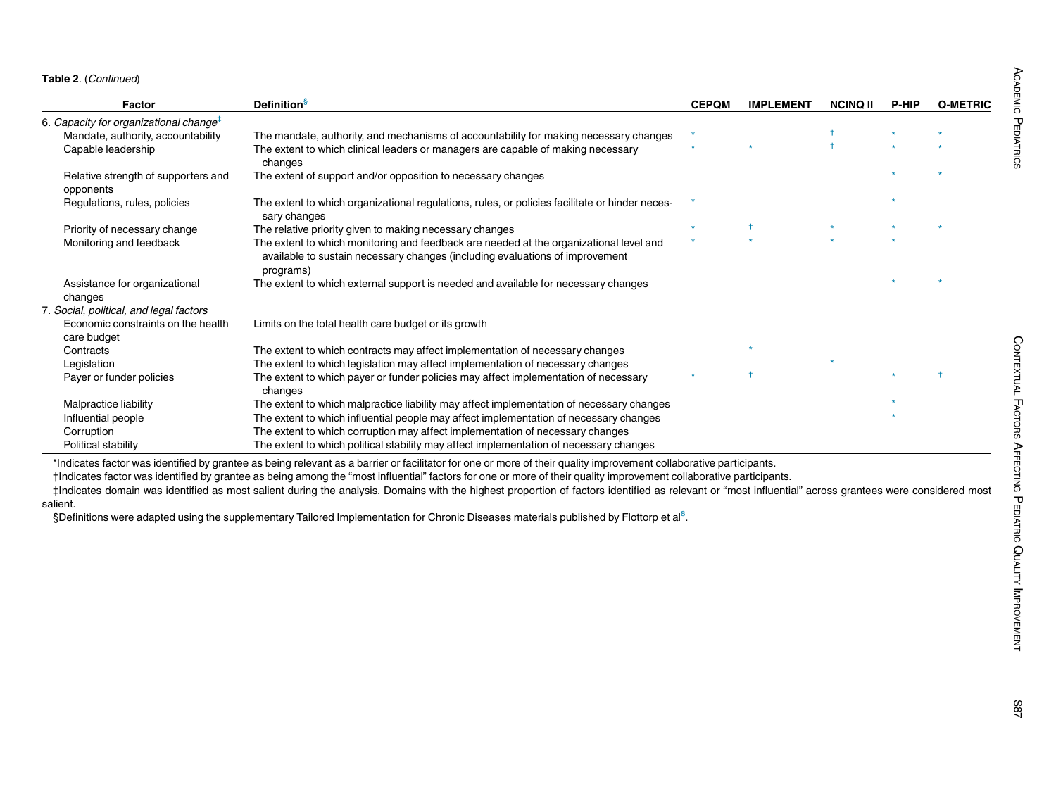<span id="page-6-2"></span><span id="page-6-1"></span><span id="page-6-0"></span>

| Factor                                             | <b>Definition</b> <sup>§</sup>                                                                                                                                                      | <b>CEPQM</b> | <b>IMPLEMENT</b> | <b>NCINQ II</b> | <b>P-HIP</b> | Q-METRIC |
|----------------------------------------------------|-------------------------------------------------------------------------------------------------------------------------------------------------------------------------------------|--------------|------------------|-----------------|--------------|----------|
| 6. Capacity for organizational change <sup>t</sup> |                                                                                                                                                                                     |              |                  |                 |              |          |
| Mandate, authority, accountability                 | The mandate, authority, and mechanisms of accountability for making necessary changes                                                                                               | $\star$      |                  |                 |              |          |
| Capable leadership                                 | The extent to which clinical leaders or managers are capable of making necessary<br>changes                                                                                         |              |                  |                 |              |          |
| Relative strength of supporters and<br>opponents   | The extent of support and/or opposition to necessary changes                                                                                                                        |              |                  |                 |              |          |
| Regulations, rules, policies                       | The extent to which organizational regulations, rules, or policies facilitate or hinder neces-<br>sary changes                                                                      |              |                  |                 |              |          |
| Priority of necessary change                       | The relative priority given to making necessary changes                                                                                                                             |              |                  |                 |              |          |
| Monitoring and feedback                            | The extent to which monitoring and feedback are needed at the organizational level and<br>available to sustain necessary changes (including evaluations of improvement<br>programs) |              |                  |                 |              |          |
| Assistance for organizational                      | The extent to which external support is needed and available for necessary changes                                                                                                  |              |                  |                 |              |          |
| changes                                            |                                                                                                                                                                                     |              |                  |                 |              |          |
| 7. Social, political, and legal factors            |                                                                                                                                                                                     |              |                  |                 |              |          |
| Economic constraints on the health<br>care budget  | Limits on the total health care budget or its growth                                                                                                                                |              |                  |                 |              |          |
| Contracts                                          | The extent to which contracts may affect implementation of necessary changes                                                                                                        |              |                  |                 |              |          |
| Legislation                                        | The extent to which legislation may affect implementation of necessary changes                                                                                                      |              |                  |                 |              |          |
| Payer or funder policies                           | The extent to which payer or funder policies may affect implementation of necessary<br>changes                                                                                      |              |                  |                 |              |          |
| Malpractice liability                              | The extent to which malpractice liability may affect implementation of necessary changes                                                                                            |              |                  |                 |              |          |
| Influential people                                 | The extent to which influential people may affect implementation of necessary changes                                                                                               |              |                  |                 |              |          |
| Corruption                                         | The extent to which corruption may affect implementation of necessary changes                                                                                                       |              |                  |                 |              |          |
| Political stability                                | The extent to which political stability may affect implementation of necessary changes                                                                                              |              |                  |                 |              |          |

\*Indicates factor was identified by grantee as being relevant as <sup>a</sup> barrier or facilitator for one or more of their quality improvement collaborative participants.

†Indicates factor was identified by grantee as being among the "most influential" factors for one or more of their quality improvement collaborative participants.

‡Indicates domain was identified as most salient during the analysis. Domains with the highest proportion of factors identified as relevant or "most influential" across grantees were considered most salient.

§Definitions were adapted using the supplementary Tailored Implementation for Chronic Diseases materials published by Flottorp et al<sup>[8](#page-10-2)</sup>.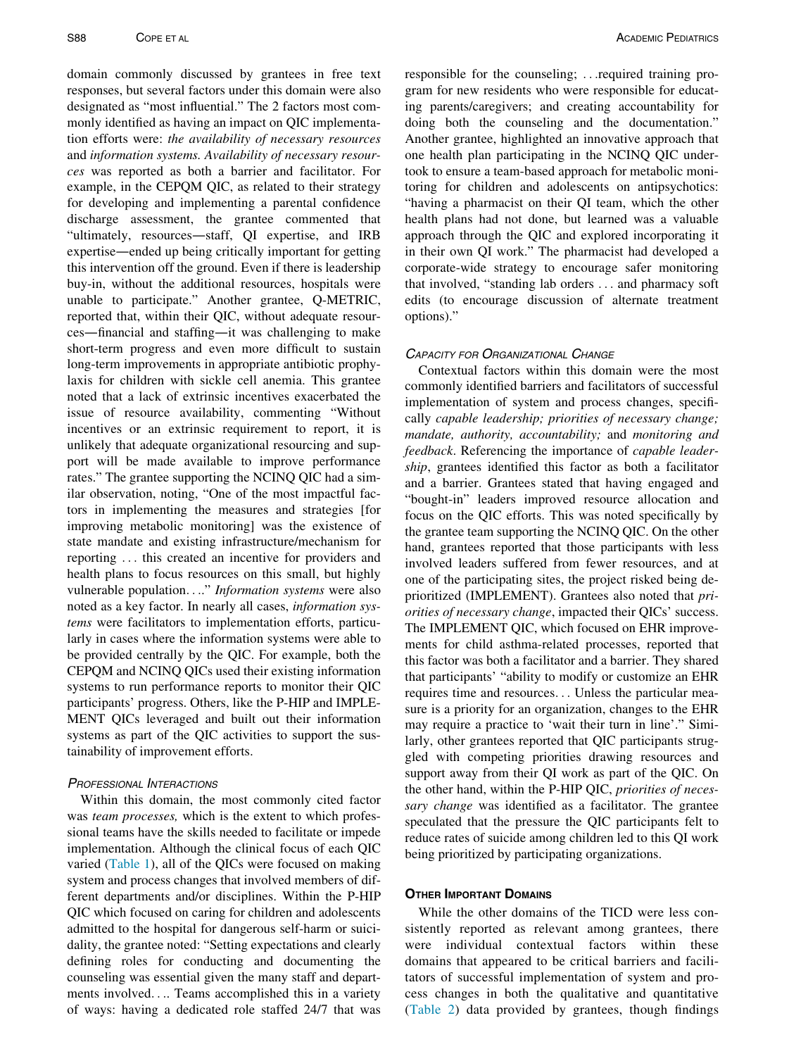domain commonly discussed by grantees in free text responses, but several factors under this domain were also designated as "most influential." The 2 factors most commonly identified as having an impact on QIC implementation efforts were: the availability of necessary resources and information systems. Availability of necessary resources was reported as both a barrier and facilitator. For example, in the CEPQM QIC, as related to their strategy for developing and implementing a parental confidence discharge assessment, the grantee commented that "ultimately, resources—staff, QI expertise, and IRB expertise—ended up being critically important for getting this intervention off the ground. Even if there is leadership buy-in, without the additional resources, hospitals were unable to participate." Another grantee, Q-METRIC, reported that, within their QIC, without adequate resources—financial and staffing—it was challenging to make short-term progress and even more difficult to sustain long-term improvements in appropriate antibiotic prophylaxis for children with sickle cell anemia. This grantee noted that a lack of extrinsic incentives exacerbated the issue of resource availability, commenting "Without incentives or an extrinsic requirement to report, it is unlikely that adequate organizational resourcing and support will be made available to improve performance rates." The grantee supporting the NCINQ QIC had a similar observation, noting, "One of the most impactful factors in implementing the measures and strategies [for improving metabolic monitoring] was the existence of state mandate and existing infrastructure/mechanism for reporting ... this created an incentive for providers and health plans to focus resources on this small, but highly vulnerable population...." Information systems were also noted as a key factor. In nearly all cases, information systems were facilitators to implementation efforts, particularly in cases where the information systems were able to be provided centrally by the QIC. For example, both the CEPQM and NCINQ QICs used their existing information systems to run performance reports to monitor their QIC participants' progress. Others, like the P-HIP and IMPLE-MENT QICs leveraged and built out their information systems as part of the QIC activities to support the sustainability of improvement efforts.

## PROFESSIONAL INTERACTIONS

Within this domain, the most commonly cited factor was *team processes*, which is the extent to which professional teams have the skills needed to facilitate or impede implementation. Although the clinical focus of each QIC varied ([Table 1\)](#page-2-0), all of the QICs were focused on making system and process changes that involved members of different departments and/or disciplines. Within the P-HIP QIC which focused on caring for children and adolescents admitted to the hospital for dangerous self-harm or suicidality, the grantee noted: "Setting expectations and clearly defining roles for conducting and documenting the counseling was essential given the many staff and departments involved.... Teams accomplished this in a variety of ways: having a dedicated role staffed 24/7 that was

responsible for the counseling; ...required training program for new residents who were responsible for educating parents/caregivers; and creating accountability for doing both the counseling and the documentation." Another grantee, highlighted an innovative approach that one health plan participating in the NCINQ QIC undertook to ensure a team-based approach for metabolic monitoring for children and adolescents on antipsychotics: "having a pharmacist on their QI team, which the other health plans had not done, but learned was a valuable approach through the QIC and explored incorporating it in their own QI work." The pharmacist had developed a corporate-wide strategy to encourage safer monitoring that involved, "standing lab orders ... and pharmacy soft edits (to encourage discussion of alternate treatment options)."

## CAPACITY FOR ORGANIZATIONAL CHANGE

Contextual factors within this domain were the most commonly identified barriers and facilitators of successful implementation of system and process changes, specifically capable leadership; priorities of necessary change; mandate, authority, accountability; and monitoring and feedback. Referencing the importance of capable leadership, grantees identified this factor as both a facilitator and a barrier. Grantees stated that having engaged and "bought-in" leaders improved resource allocation and focus on the QIC efforts. This was noted specifically by the grantee team supporting the NCINQ QIC. On the other hand, grantees reported that those participants with less involved leaders suffered from fewer resources, and at one of the participating sites, the project risked being deprioritized (IMPLEMENT). Grantees also noted that priorities of necessary change, impacted their QICs' success. The IMPLEMENT QIC, which focused on EHR improvements for child asthma-related processes, reported that this factor was both a facilitator and a barrier. They shared that participants' "ability to modify or customize an EHR requires time and resources... Unless the particular measure is a priority for an organization, changes to the EHR may require a practice to 'wait their turn in line'." Similarly, other grantees reported that QIC participants struggled with competing priorities drawing resources and support away from their QI work as part of the QIC. On the other hand, within the P-HIP QIC, priorities of necessary change was identified as a facilitator. The grantee speculated that the pressure the QIC participants felt to reduce rates of suicide among children led to this QI work being prioritized by participating organizations.

## OTHER IMPORTANT DOMAINS

While the other domains of the TICD were less consistently reported as relevant among grantees, there were individual contextual factors within these domains that appeared to be critical barriers and facilitators of successful implementation of system and process changes in both the qualitative and quantitative ([Table 2](#page-4-0)) data provided by grantees, though findings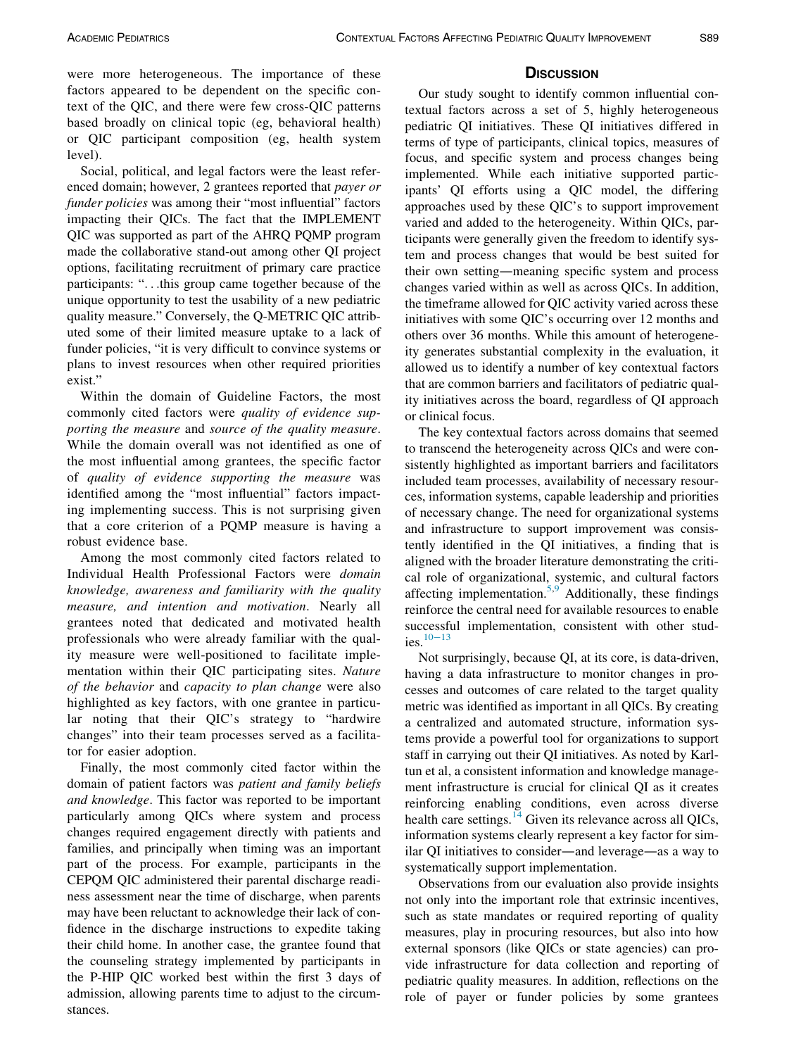were more heterogeneous. The importance of these factors appeared to be dependent on the specific context of the QIC, and there were few cross-QIC patterns based broadly on clinical topic (eg, behavioral health) or QIC participant composition (eg, health system level).

Social, political, and legal factors were the least referenced domain; however, 2 grantees reported that payer or funder policies was among their "most influential" factors impacting their QICs. The fact that the IMPLEMENT QIC was supported as part of the AHRQ PQMP program made the collaborative stand-out among other QI project options, facilitating recruitment of primary care practice participants: "...this group came together because of the unique opportunity to test the usability of a new pediatric quality measure." Conversely, the Q-METRIC QIC attributed some of their limited measure uptake to a lack of funder policies, "it is very difficult to convince systems or plans to invest resources when other required priorities exist."

Within the domain of Guideline Factors, the most commonly cited factors were quality of evidence supporting the measure and source of the quality measure. While the domain overall was not identified as one of the most influential among grantees, the specific factor of quality of evidence supporting the measure was identified among the "most influential" factors impacting implementing success. This is not surprising given that a core criterion of a PQMP measure is having a robust evidence base.

Among the most commonly cited factors related to Individual Health Professional Factors were domain knowledge, awareness and familiarity with the quality measure, and intention and motivation. Nearly all grantees noted that dedicated and motivated health professionals who were already familiar with the quality measure were well-positioned to facilitate implementation within their QIC participating sites. Nature of the behavior and capacity to plan change were also highlighted as key factors, with one grantee in particular noting that their QIC's strategy to "hardwire changes" into their team processes served as a facilitator for easier adoption.

Finally, the most commonly cited factor within the domain of patient factors was patient and family beliefs and knowledge. This factor was reported to be important particularly among QICs where system and process changes required engagement directly with patients and families, and principally when timing was an important part of the process. For example, participants in the CEPQM QIC administered their parental discharge readiness assessment near the time of discharge, when parents may have been reluctant to acknowledge their lack of confidence in the discharge instructions to expedite taking their child home. In another case, the grantee found that the counseling strategy implemented by participants in the P-HIP QIC worked best within the first 3 days of admission, allowing parents time to adjust to the circumstances.

# **DISCUSSION**

Our study sought to identify common influential contextual factors across a set of 5, highly heterogeneous pediatric QI initiatives. These QI initiatives differed in terms of type of participants, clinical topics, measures of focus, and specific system and process changes being implemented. While each initiative supported participants' QI efforts using a QIC model, the differing approaches used by these QIC's to support improvement varied and added to the heterogeneity. Within QICs, participants were generally given the freedom to identify system and process changes that would be best suited for their own setting—meaning specific system and process changes varied within as well as across QICs. In addition, the timeframe allowed for QIC activity varied across these initiatives with some QIC's occurring over 12 months and others over 36 months. While this amount of heterogeneity generates substantial complexity in the evaluation, it allowed us to identify a number of key contextual factors that are common barriers and facilitators of pediatric quality initiatives across the board, regardless of QI approach or clinical focus.

The key contextual factors across domains that seemed to transcend the heterogeneity across QICs and were consistently highlighted as important barriers and facilitators included team processes, availability of necessary resources, information systems, capable leadership and priorities of necessary change. The need for organizational systems and infrastructure to support improvement was consistently identified in the QI initiatives, a finding that is aligned with the broader literature demonstrating the critical role of organizational, systemic, and cultural factors affecting implementation.<sup>[5](#page-9-3)[,9](#page-10-3)</sup> Additionally, these findings reinforce the central need for available resources to enable successful implementation, consistent with other studies.[10](#page-10-4)−<sup>13</sup>

Not surprisingly, because QI, at its core, is data-driven, having a data infrastructure to monitor changes in processes and outcomes of care related to the target quality metric was identified as important in all QICs. By creating a centralized and automated structure, information systems provide a powerful tool for organizations to support staff in carrying out their QI initiatives. As noted by Karltun et al, a consistent information and knowledge management infrastructure is crucial for clinical QI as it creates reinforcing enabling conditions, even across diverse health care settings. $^{14}$  $^{14}$  $^{14}$  Given its relevance across all QICs, information systems clearly represent a key factor for similar QI initiatives to consider—and leverage—as a way to systematically support implementation.

Observations from our evaluation also provide insights not only into the important role that extrinsic incentives, such as state mandates or required reporting of quality measures, play in procuring resources, but also into how external sponsors (like QICs or state agencies) can provide infrastructure for data collection and reporting of pediatric quality measures. In addition, reflections on the role of payer or funder policies by some grantees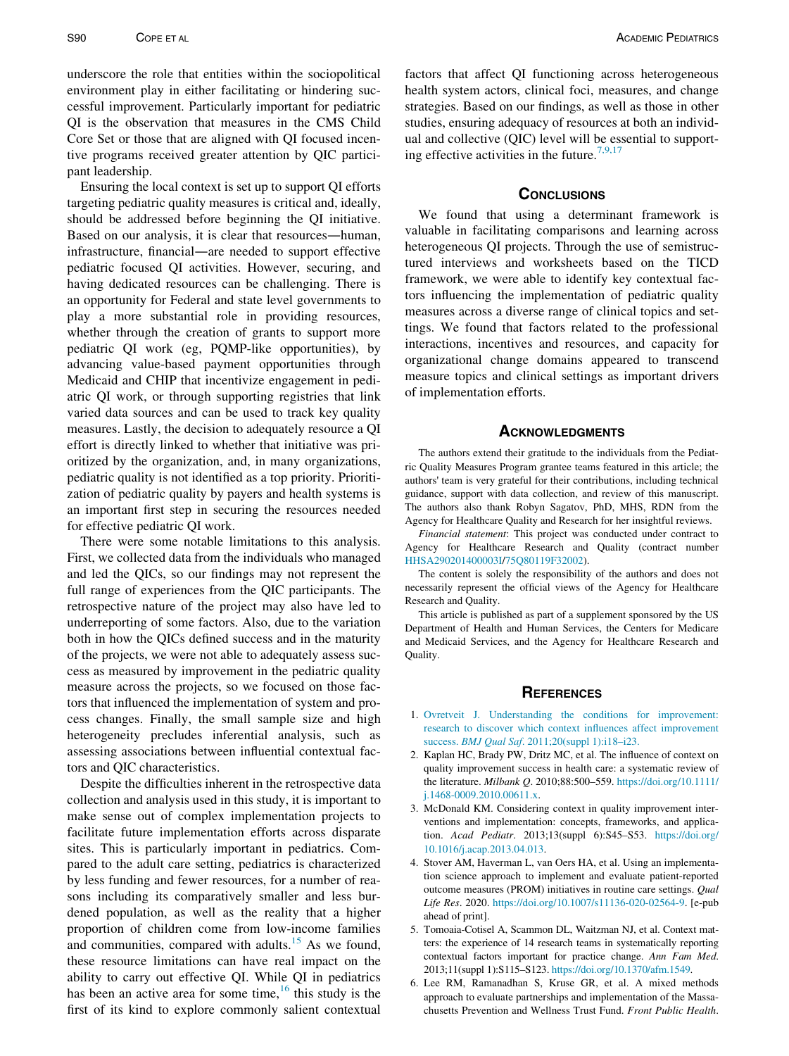underscore the role that entities within the sociopolitical environment play in either facilitating or hindering successful improvement. Particularly important for pediatric QI is the observation that measures in the CMS Child Core Set or those that are aligned with QI focused incentive programs received greater attention by QIC participant leadership.

Ensuring the local context is set up to support QI efforts targeting pediatric quality measures is critical and, ideally, should be addressed before beginning the QI initiative. Based on our analysis, it is clear that resources—human, infrastructure, financial—are needed to support effective pediatric focused QI activities. However, securing, and having dedicated resources can be challenging. There is an opportunity for Federal and state level governments to play a more substantial role in providing resources, whether through the creation of grants to support more pediatric QI work (eg, PQMP-like opportunities), by advancing value-based payment opportunities through Medicaid and CHIP that incentivize engagement in pediatric QI work, or through supporting registries that link varied data sources and can be used to track key quality measures. Lastly, the decision to adequately resource a QI effort is directly linked to whether that initiative was prioritized by the organization, and, in many organizations, pediatric quality is not identified as a top priority. Prioritization of pediatric quality by payers and health systems is an important first step in securing the resources needed for effective pediatric QI work.

<span id="page-9-4"></span>There were some notable limitations to this analysis. First, we collected data from the individuals who managed and led the QICs, so our findings may not represent the full range of experiences from the QIC participants. The retrospective nature of the project may also have led to underreporting of some factors. Also, due to the variation both in how the QICs defined success and in the maturity of the projects, we were not able to adequately assess success as measured by improvement in the pediatric quality measure across the projects, so we focused on those factors that influenced the implementation of system and process changes. Finally, the small sample size and high heterogeneity precludes inferential analysis, such as assessing associations between influential contextual factors and QIC characteristics.

<span id="page-9-3"></span><span id="page-9-2"></span><span id="page-9-1"></span><span id="page-9-0"></span>Despite the difficulties inherent in the retrospective data collection and analysis used in this study, it is important to make sense out of complex implementation projects to facilitate future implementation efforts across disparate sites. This is particularly important in pediatrics. Compared to the adult care setting, pediatrics is characterized by less funding and fewer resources, for a number of reasons including its comparatively smaller and less burdened population, as well as the reality that a higher proportion of children come from low-income families and communities, compared with adults. $15$  As we found, these resource limitations can have real impact on the ability to carry out effective QI. While QI in pediatrics has been an active area for some time,  $16$  this study is the first of its kind to explore commonly salient contextual factors that affect QI functioning across heterogeneous health system actors, clinical foci, measures, and change strategies. Based on our findings, as well as those in other studies, ensuring adequacy of resources at both an individual and collective (QIC) level will be essential to support-ing effective activities in the future.<sup>[7,9,17](#page-10-0)</sup>

#### **CONCLUSIONS**

We found that using a determinant framework is valuable in facilitating comparisons and learning across heterogeneous QI projects. Through the use of semistructured interviews and worksheets based on the TICD framework, we were able to identify key contextual factors influencing the implementation of pediatric quality measures across a diverse range of clinical topics and settings. We found that factors related to the professional interactions, incentives and resources, and capacity for organizational change domains appeared to transcend measure topics and clinical settings as important drivers of implementation efforts.

## **ACKNOWLEDGMENTS**

The authors extend their gratitude to the individuals from the Pediatric Quality Measures Program grantee teams featured in this article; the authors' team is very grateful for their contributions, including technical guidance, support with data collection, and review of this manuscript. The authors also thank Robyn Sagatov, PhD, MHS, RDN from the Agency for Healthcare Quality and Research for her insightful reviews.

Financial statement: This project was conducted under contract to Agency for Healthcare Research and Quality (contract number [HHSA290201400003I](#page-9-4)/[75Q80119F32002\)](#page-9-4).

The content is solely the responsibility of the authors and does not necessarily represent the official views of the Agency for Healthcare Research and Quality.

This article is published as part of a supplement sponsored by the US Department of Health and Human Services, the Centers for Medicare and Medicaid Services, and the Agency for Healthcare Research and Quality.

#### **REFERENCES**

- 1. [Ovretveit J. Understanding the conditions for improvement:](http://refhub.elsevier.com/S1876-2859(21)00435-6/sbref0001) [research to discover which context influences affect improvement](http://refhub.elsevier.com/S1876-2859(21)00435-6/sbref0001) success. BMJ Qual Saf[. 2011;20\(suppl 1\):i18–i23.](http://refhub.elsevier.com/S1876-2859(21)00435-6/sbref0001)
- 2. Kaplan HC, Brady PW, Dritz MC, et al. The influence of context on quality improvement success in health care: a systematic review of the literature. Milbank Q. 2010;88:500–559. [https://doi.org/10.1111/](https://doi.org/10.1111/j.1468-0009.2010.00611.x) [j.1468-0009.2010.00611.x.](https://doi.org/10.1111/j.1468-0009.2010.00611.x)
- 3. McDonald KM. Considering context in quality improvement interventions and implementation: concepts, frameworks, and application. Acad Pediatr. 2013;13(suppl 6):S45–S53. [https://doi.org/](https://doi.org/10.1016/j.acap.2013.04.013) [10.1016/j.acap.2013.04.013](https://doi.org/10.1016/j.acap.2013.04.013).
- 4. Stover AM, Haverman L, van Oers HA, et al. Using an implementation science approach to implement and evaluate patient-reported outcome measures (PROM) initiatives in routine care settings. Qual Life Res. 2020. [https://doi.org/10.1007/s11136-020-02564-9.](https://doi.org/10.1007/s11136-020-02564-9) [e-pub ahead of print].
- 5. Tomoaia-Cotisel A, Scammon DL, Waitzman NJ, et al. Context matters: the experience of 14 research teams in systematically reporting contextual factors important for practice change. Ann Fam Med. 2013;11(suppl 1):S115–S123. [https://doi.org/10.1370/afm.1549.](https://doi.org/10.1370/afm.1549)
- 6. Lee RM, Ramanadhan S, Kruse GR, et al. A mixed methods approach to evaluate partnerships and implementation of the Massachusetts Prevention and Wellness Trust Fund. Front Public Health.